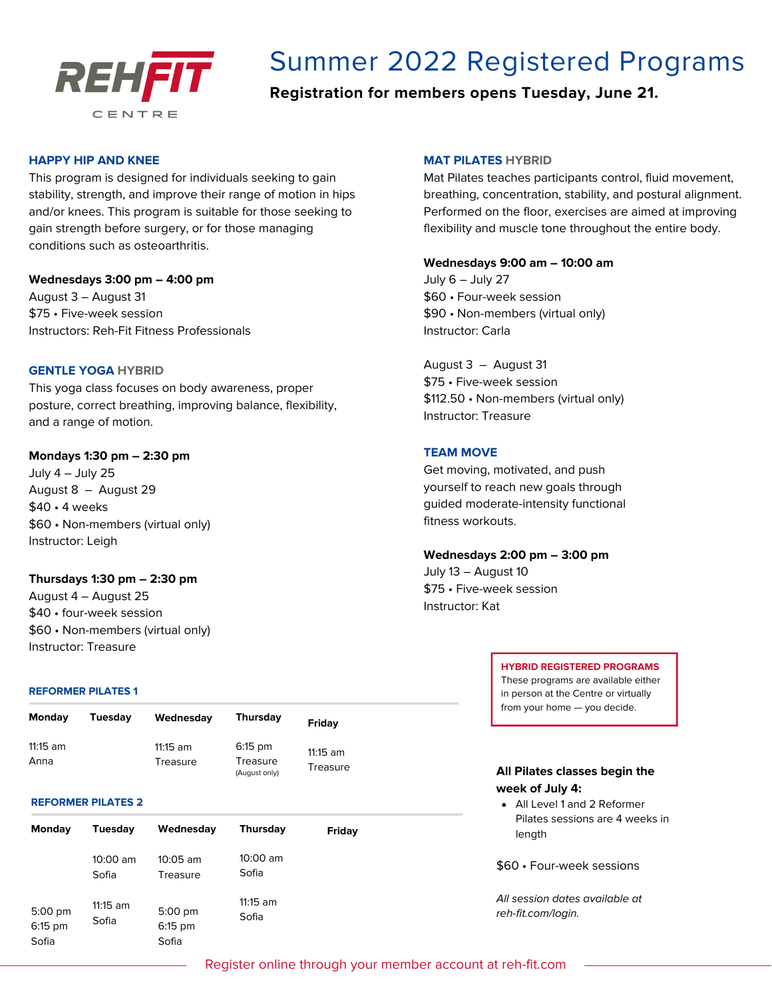

# Summer 2022 Registered Programs

**Registration for members opens Tuesday, June 21.**

# **HAPPY HIP AND KNEE**

This program is designed for individuals seeking to gain stability, strength, and improve their range of motion in hips and/or knees. This program is suitable for those seeking to gain strength before surgery, or for those managing conditions such as osteoarthritis.

# **Wednesdays 3:00 pm – 4:00 pm**

August 3 – August 31 \$75 • Five-week session Instructors: Reh-Fit Fitness Professionals

## **GENTLE YOGA HYBRID**

This yoga class focuses on body awareness, proper posture, correct breathing, improving balance, flexibility, and a range of motion.

## **Mondays 1:30 pm – 2:30 pm**

July 4 – July 25 August 8 – August 29 \$40 • 4 weeks \$60 • Non-members (virtual only) Instructor: Leigh

# **Thursdays 1:30 pm – 2:30 pm**

August 4 – August 25 \$40 • four-week session \$60 • Non-members (virtual only) Instructor: Treasure

## **REFORMER PILATES 1**

| <b>Monday</b>    | Tuesdav | Wednesday              | <b>Thursday</b>                        | Friday               |
|------------------|---------|------------------------|----------------------------------------|----------------------|
| 11:15 am<br>Anna |         | $11:15$ am<br>Treasure | $6:15$ pm<br>Treasure<br>(August only) | 11:15 am<br>Treasure |

#### **REFORMER PILATES 2**

| <b>Monday</b>                   | Tuesdav             | Wednesday                             | <b>Thursday</b>     | Friday |
|---------------------------------|---------------------|---------------------------------------|---------------------|--------|
|                                 | $10:00$ am<br>Sofia | $10:05$ am<br>Treasure                | $10:00$ am<br>Sofia |        |
| $5:00$ pm<br>$6:15$ pm<br>Sofia | $11:15$ am<br>Sofia | $5:00 \text{ pm}$<br>6:15 pm<br>Sofia | $11:15$ am<br>Sofia |        |

## **MAT PILATES HYBRID**

Mat Pilates teaches participants control, fluid movement, breathing, concentration, stability, and postural alignment. Performed on the floor, exercises are aimed at improving flexibility and muscle tone throughout the entire body.

#### **Wednesdays 9:00 am – 10:00 am**

July 6 – July 27 \$60 • Four-week session \$90 • Non-members (virtual only) Instructor: Carla

August 3 – August 31 \$75 • Five-week session \$112.50 • Non-members (virtual only) Instructor: Treasure

# **TEAM MOVE**

Get moving, motivated, and push yourself to reach new goals through guided moderate-intensity functional fitness workouts.

#### **Wednesdays 2:00 pm – 3:00 pm**

July 13 – August 10 \$75 • Five-week session Instructor: Kat

## **HYBRID REGISTERED PROGRAMS**

These programs are available either in person at the Centre or virtually from your home — you decide.

# **All Pilates classes begin the week of July 4:**

All Level 1 and 2 Reformer Pilates sessions are 4 weeks in length

\$60 • Four-week sessions

All session dates available at reh-fit.com/login.